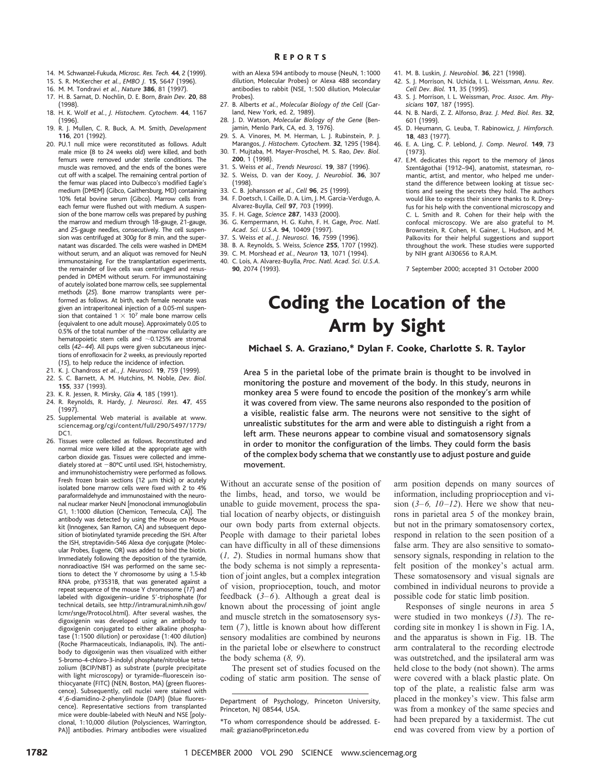- 14. M. Schwanzel-Fukuda, *Microsc. Res. Tech.* **44**, 2 (1999).
- 15. S. R. McKercher *et al.*, *EMBO J.* **15**, 5647 (1996).
- 16. M. M. Tondravi *et al.*, *Nature* **386**, 81 (1997).
- 17. H. B. Sarnat, D. Nochlin, D. E. Born, *Brain Dev.* **20**, 88 (1998).
- 18. H. K. Wolf *et al.*, *J. Histochem. Cytochem.* **44**, 1167 (1996).
- 19. R. J. Mullen, C. R. Buck, A. M. Smith, *Development* **116**, 201 (1992).
- 20. PU.1 null mice were reconstituted as follows. Adult male mice (8 to 24 weeks old) were killed, and both femurs were removed under sterile conditions. The muscle was removed, and the ends of the bones were cut off with a scalpel. The remaining central portion of the femur was placed into Dulbecco's modified Eagle's medium (DMEM) (Gibco, Gaithersburg, MD) containing 10% fetal bovine serum (Gibco). Marrow cells from each femur were flushed out with medium. A suspension of the bone marrow cells was prepared by pushing the marrow and medium through 18-gauge, 21-gauge, and 25-gauge needles, consecutively. The cell suspension was centrifuged at 300*g* for 8 min, and the supernatant was discarded. The cells were washed in DMEM without serum, and an aliquot was removed for NeuN immunostaining. For the transplantation experiments, the remainder of live cells was centrifuged and resuspended in DMEM without serum. For immunostaining of acutely isolated bone marrow cells, see supplemental methods (*25*). Bone marrow transplants were performed as follows. At birth, each female neonate was given an intraperitoneal injection of a 0.05-ml suspension that contained  $1 \times 10^7$  male bone marrow cells (equivalent to one adult mouse). Approximately 0.05 to 0.5% of the total number of the marrow cellularity are hematopoietic stem cells and  $\sim$  0.125% are stromal cells (*42–44*). All pups were given subcutaneous injections of enrofloxacin for 2 weeks, as previously reported (*15*), to help reduce the incidence of infection.
- 21. K. J. Chandross *et al.*, *J. Neurosci.* **19**, 759 (1999).
- 22. S. C. Barnett, A. M. Hutchins, M. Noble, *Dev. Biol.* **155**, 337 (1993).
- 23. K. R. Jessen, R. Mirsky, *Glia* **4**, 185 (1991).
- 24. R. Reynolds, R. Hardy, *J. Neurosci. Res.* **47**, 455 (1997).
- 25. Supplemental Web material is available at www. sciencemag.org/cgi/content/full/290/5497/1779/  $DC1$
- 26. Tissues were collected as follows. Reconstituted and normal mice were killed at the appropriate age with carbon dioxide gas. Tissues were collected and immediately stored at  $-80^{\circ}$ C until used. ISH, histochemistry, and immunohistochemistry were performed as follows. Fresh frozen brain sections (12  $\mu$ m thick) or acutely isolated bone marrow cells were fixed with 2 to 4% paraformaldehyde and immunostained with the neuronal nuclear marker NeuN [monoclonal immunoglobulin G1, 1:1000 dilution (Chemicon, Temecula, CA)]. The antibody was detected by using the Mouse on Mouse kit (Innogenex, San Ramon, CA) and subsequent deposition of biotinylated tyramide preceding the ISH. After the ISH, streptavidin-546 Alexa dye conjugate (Molecular Probes, Eugene, OR) was added to bind the biotin. Immediately following the deposition of the tyramide, nonradioactive ISH was performed on the same sections to detect the Y chromosome by using a 1.5-kb RNA probe, pY3531B, that was generated against a repeat sequence of the mouse Y chromosome (*17*) and labeled with digoxigenin–uridine 5'-triphosphate (for technical details, see http://intramural.nimh.nih.gov/ lcmr/snge/Protocol.html). After several washes, the digoxigenin was developed using an antibody to digoxigenin conjugated to either alkaline phosphatase (1:1500 dilution) or peroxidase (1:400 dilution) (Roche Pharmaceuticals, Indianapolis, IN). The antibody to digoxigenin was then visualized with either 5-bromo-4-chloro-3-indolyl phosphate/nitroblue tetrazolium (BCIP/NBT) as substrate (purple precipitate with light microscopy) or tyramide–fluorescein isothiocyanate (FITC) (NEN, Boston, MA) (green fluorescence). Subsequently, cell nuclei were stained with 4',6-diamidino-2-phenylindole (DAPI) (blue fluorescence). Representative sections from transplanted mice were double-labeled with NeuN and NSE [polyclonal, 1:10,000 dilution (Polysciences, Warrington, PA)] antibodies. Primary antibodies were visualized

with an Alexa 594 antibody to mouse (NeuN, 1:1000 dilution, Molecular Probes) or Alexa 488 secondary antibodies to rabbit (NSE, 1:500 dilution, Molecular Probes).

- 27. B. Alberts *et al.*, *Molecular Biology of the Cell* (Garland, New York, ed. 2, 1989).
- 28. J. D. Watson, *Molecular Biology of the Gene* (Benjamin, Menlo Park, CA, ed. 3, 1976).
- 29. S. A. Vinores, M. M. Herman, L. J. Rubinstein, P.
- Marangos, *J. Histochem. Cytochem.* **32**, 1295 (1984). 30. T. Mujtaba, M. Mayer-Proschel, M. S. Rao, *Dev. Biol.* **200**, 1 (1998).
- 31. S. Weiss *et al.*, *Trends Neurosci.* **19**, 387 (1996).
- 32. S. Weiss, D. van der Kooy, *J. Neurobiol.* **36**, 307 (1998).
- 33. C. B. Johansson *et al.*, *Cell* **96**, 25 (1999). 34. F. Doetsch, I. Caille, D. A. Lim, J. M. Garcia-Verdugo, A. Alvarez-Buylla, *Cell* **97**, 703 (1999).
- 35. F. H. Gage, *Science* **287**, 1433 (2000).
- 36. G. Kempermann, H. G. Kuhn, F. H. Gage, *Proc. Natl.*
- *Acad. Sci. U.S.A.* **94**, 10409 (1997).
- 37. S. Weiss *et al.*, *J. Neurosci.* **16**, 7599 (1996).
- 38. B. A. Reynolds, S. Weiss, *Science* **255**, 1707 (1992).
- 39. C. M. Morshead *et al.*, *Neuron* **13**, 1071 (1994).
- 40. C. Lois, A. Alvarez-Buylla, *Proc. Natl. Acad. Sci. U.S.A.* **90**, 2074 (1993).
- 41. M. B. Luskin, *J. Neurobiol.* **36**, 221 (1998).
- 42. S. J. Morrison, N. Uchida, I. L. Weissman, *Annu. Rev. Cell Dev. Biol.* **11**, 35 (1995).
- 43. S. J. Morrison, I. L. Weissman, *Proc. Assoc. Am. Physicians* **107**, 187 (1995).
- 44. N. B. Nardi, Z. Z. Alfonso, *Braz. J. Med. Biol. Res.* **32**, 601 (1999).
- 45. D. Heumann, G. Leuba, T. Rabinowicz, *J. Hirnforsch.* **18**, 483 (1977).
- 46. E. A. Ling, C. P. Leblond, *J. Comp. Neurol.* **149**, 73 (1973).
- 47. E.M. dedicates this report to the memory of János Szentágothai (1912–94), anatomist, statesman, romantic, artist, and mentor, who helped me understand the difference between looking at tissue sections and seeing the secrets they hold. The authors would like to express their sincere thanks to R. Dreyfus for his help with the conventional microscopy and C. L. Smith and R. Cohen for their help with the confocal microscopy. We are also grateful to M. Brownstein, R. Cohen, H. Gainer, L. Hudson, and M. Palkovits for their helpful suggestions and support throughout the work. These studies were supported by NIH grant AI30656 to R.A.M.

7 September 2000; accepted 31 October 2000

## Coding the Location of the Arm by Sight

Michael S. A. Graziano,\* Dylan F. Cooke, Charlotte S. R. Taylor

Area 5 in the parietal lobe of the primate brain is thought to be involved in monitoring the posture and movement of the body. In this study, neurons in monkey area 5 were found to encode the position of the monkey's arm while it was covered from view. The same neurons also responded to the position of a visible, realistic false arm. The neurons were not sensitive to the sight of unrealistic substitutes for the arm and were able to distinguish a right from a left arm. These neurons appear to combine visual and somatosensory signals in order to monitor the configuration of the limbs. They could form the basis of the complex body schema that we constantly use to adjust posture and guide movement.

Without an accurate sense of the position of the limbs, head, and torso, we would be unable to guide movement, process the spatial location of nearby objects, or distinguish our own body parts from external objects. People with damage to their parietal lobes can have difficulty in all of these dimensions (*1, 2*). Studies in normal humans show that the body schema is not simply a representation of joint angles, but a complex integration of vision, proprioception, touch, and motor feedback (*3–6*). Although a great deal is known about the processing of joint angle and muscle stretch in the somatosensory system (*7*), little is known about how different sensory modalities are combined by neurons in the parietal lobe or elsewhere to construct the body schema (*8, 9*).

The present set of studies focused on the coding of static arm position. The sense of

arm position depends on many sources of information, including proprioception and vision (*3–6, 10–12*). Here we show that neurons in parietal area 5 of the monkey brain, but not in the primary somatosensory cortex, respond in relation to the seen position of a false arm. They are also sensitive to somatosensory signals, responding in relation to the felt position of the monkey's actual arm. These somatosensory and visual signals are combined in individual neurons to provide a possible code for static limb position.

Responses of single neurons in area 5 were studied in two monkeys (*13*). The recording site in monkey 1 is shown in Fig. 1A, and the apparatus is shown in Fig. 1B. The arm contralateral to the recording electrode was outstretched, and the ipsilateral arm was held close to the body (not shown). The arms were covered with a black plastic plate. On top of the plate, a realistic false arm was placed in the monkey's view. This false arm was from a monkey of the same species and had been prepared by a taxidermist. The cut end was covered from view by a portion of

Department of Psychology, Princeton University, Princeton, NJ 08544, USA.

<sup>\*</sup>To whom correspondence should be addressed. Email: graziano@princeton.edu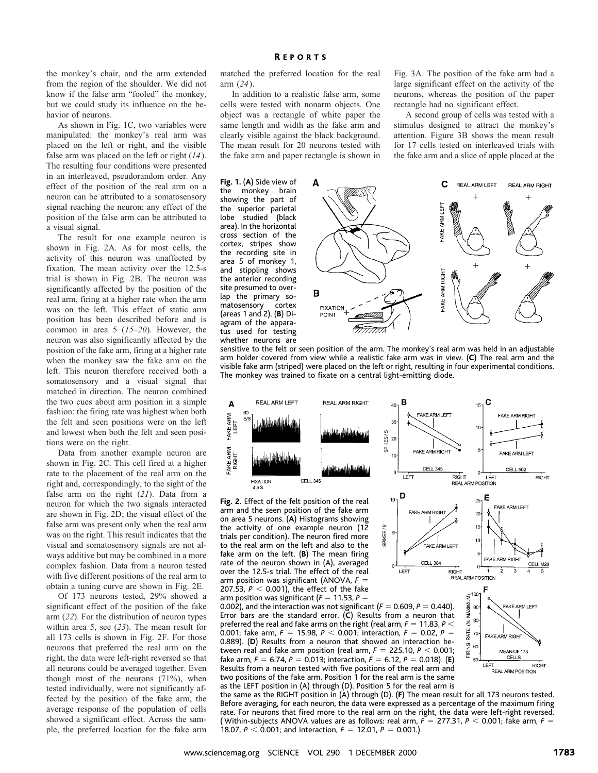the monkey's chair, and the arm extended from the region of the shoulder. We did not know if the false arm "fooled" the monkey, but we could study its influence on the behavior of neurons.

As shown in Fig. 1C, two variables were manipulated: the monkey's real arm was placed on the left or right, and the visible false arm was placed on the left or right (*14*). The resulting four conditions were presented in an interleaved, pseudorandom order. Any effect of the position of the real arm on a neuron can be attributed to a somatosensory signal reaching the neuron; any effect of the position of the false arm can be attributed to a visual signal.

The result for one example neuron is shown in Fig. 2A. As for most cells, the activity of this neuron was unaffected by fixation. The mean activity over the 12.5-s trial is shown in Fig. 2B. The neuron was significantly affected by the position of the real arm, firing at a higher rate when the arm was on the left. This effect of static arm position has been described before and is common in area 5 (*15–20*). However, the neuron was also significantly affected by the position of the fake arm, firing at a higher rate when the monkey saw the fake arm on the left. This neuron therefore received both a somatosensory and a visual signal that matched in direction. The neuron combined the two cues about arm position in a simple fashion: the firing rate was highest when both the felt and seen positions were on the left and lowest when both the felt and seen positions were on the right.

Data from another example neuron are shown in Fig. 2C. This cell fired at a higher rate to the placement of the real arm on the right and, correspondingly, to the sight of the false arm on the right (*21*). Data from a neuron for which the two signals interacted are shown in Fig. 2D; the visual effect of the false arm was present only when the real arm was on the right. This result indicates that the visual and somatosensory signals are not always additive but may be combined in a more complex fashion. Data from a neuron tested with five different positions of the real arm to obtain a tuning curve are shown in Fig. 2E.

Of 173 neurons tested, 29% showed a significant effect of the position of the fake arm (*22*). For the distribution of neuron types within area 5, see (*23*). The mean result for all 173 cells is shown in Fig. 2F. For those neurons that preferred the real arm on the right, the data were left-right reversed so that all neurons could be averaged together. Even though most of the neurons (71%), when tested individually, were not significantly affected by the position of the fake arm, the average response of the population of cells showed a significant effect. Across the sample, the preferred location for the fake arm matched the preferred location for the real arm (*24*).

In addition to a realistic false arm, some cells were tested with nonarm objects. One object was a rectangle of white paper the same length and width as the fake arm and clearly visible against the black background. The mean result for 20 neurons tested with the fake arm and paper rectangle is shown in

**Fig. 1.** (**A**) Side view of the monkey brain showing the part of the superior parietal lobe studied (black area). In the horizontal cross section of the cortex, stripes show the recording site in area 5 of monkey 1, and stippling shows the anterior recording site presumed to overlap the primary somatosensory cortex (areas 1 and 2). (**B**) Diagram of the apparatus used for testing whether neurons are

Fig. 3A. The position of the fake arm had a large significant effect on the activity of the neurons, whereas the position of the paper rectangle had no significant effect.

A second group of cells was tested with a stimulus designed to attract the monkey's attention. Figure 3B shows the mean result for 17 cells tested on interleaved trials with the fake arm and a slice of apple placed at the



**FAKE ARM RIGHT** 

.<br>FAKE ARM LEFT

 $\overline{R}$ IGHT

CELL 384

sensitive to the felt or seen position of the arm. The monkey's real arm was held in an adjustable arm holder covered from view while a realistic fake arm was in view. (**C**) The real arm and the visible fake arm (striped) were placed on the left or right, resulting in four experimental conditions. The monkey was trained to fixate on a central light-emitting diode.



SPIKES/S

LEFT

**Fig. 2.** Effect of the felt position of the real arm and the seen position of the fake arm on area 5 neurons. (**A**) Histograms showing the activity of one example neuron (12 trials per condition). The neuron fired more to the real arm on the left and also to the fake arm on the left. (**B**) The mean firing rate of the neuron shown in (A), averaged over the 12.5-s trial. The effect of the real arm position was significant (ANOVA,  $F =$ 207.53,  $P < 0.001$ ), the effect of the fake arm position was significant  $(F = 11.53, P =$ 

0.002), and the interaction was not significant  $(F = 0.609, P = 0.440)$ . Error bars are the standard error. (**C**) Results from a neuron that preferred the real and fake arms on the right (real arm,  $F = 11.83$ ,  $P <$ 0.001; fake arm,  $F = 15.98$ ,  $P < 0.001$ ; interaction,  $F = 0.02$ ,  $P =$ 0.889). (**D**) Results from a neuron that showed an interaction between real and fake arm position (real arm,  $F = 225.10$ ,  $P < 0.001$ ; fake arm,  $F = 6.74$ ,  $P = 0.013$ ; interaction,  $F = 6.12$ ,  $P = 0.018$ ). (**E**) Results from a neuron tested with five positions of the real arm and two positions of the fake arm. Position 1 for the real arm is the same as the LEFT position in (A) through (D). Position 5 for the real arm is

the same as the RIGHT position in (A) through (D). (**F**) The mean result for all 173 neurons tested. Before averaging, for each neuron, the data were expressed as a percentage of the maximum firing rate. For neurons that fired more to the real arm on the right, the data were left-right reversed. ( Within-subjects ANOVA values are as follows: real arm,  $F =$  277.31,  $P <$  0.001; fake arm,  $F =$ 18.07,  $P < 0.001$ ; and interaction,  $F = 12.01$ ,  $P = 0.001$ .)

FAKE ARM LEET

FAKE ARM RIGHT

5

**FAKE ARM RIGHT** 

MEAN OF 173 CELLS

LEFT RI<br>REAL ARM POSITION

CELL M28

RIGHT

**AKE ARM LEFT** 

 $\overline{20}$  $15<sub>15</sub>$ 

10

REAL ARM POSITION

 $\begin{array}{c}\n\text{S/NINUM} \\
\text{S/NINUM} \\
\text{S/NINUM} \\
\text{S/NINUM} \\
\text{S/NINUM} \\
\text{S/NINUM} \\
\text{S/NINUM} \\
\text{S/NINUM} \\
\text{S/NINUM} \\
\text{S/NINUM} \\
\text{S/NINUM} \\
\text{S/NINUM} \\
\text{S/NINUM} \\
\text{S/NINUM} \\
\text{S/NINUM} \\
\text{S/NINUM} \\
\text{S/NINUM} \\
\text{S/NINUM} \\
\text{S/NINUM} \\
\text{S/NINUM} \\
\text{S/NINUM} \\
\text{S/NINUM} \\
\text{S/NINUM} \\
\text{S/N$ 

80 క RATF  $7<sup>c</sup>$ 

 $50^{\circ}$ 

FIRING 60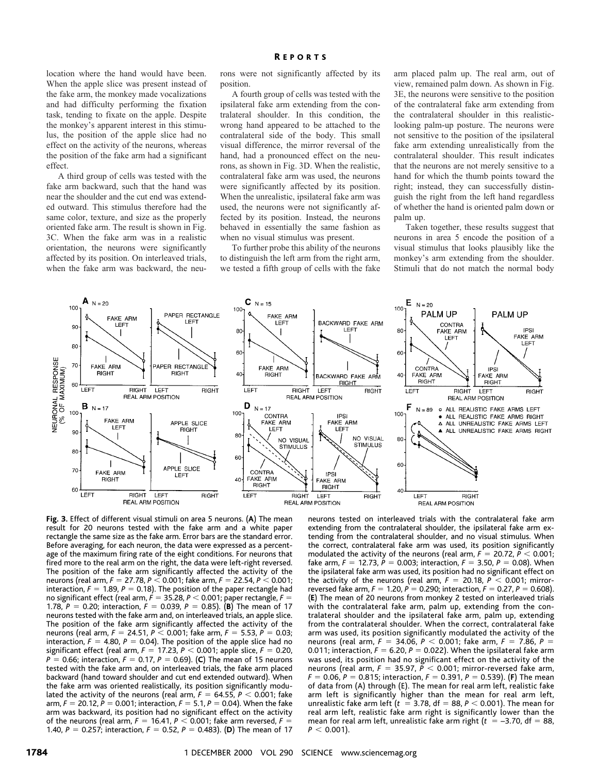location where the hand would have been. When the apple slice was present instead of the fake arm, the monkey made vocalizations and had difficulty performing the fixation task, tending to fixate on the apple. Despite the monkey's apparent interest in this stimulus, the position of the apple slice had no effect on the activity of the neurons, whereas the position of the fake arm had a significant effect.

A third group of cells was tested with the fake arm backward, such that the hand was near the shoulder and the cut end was extended outward. This stimulus therefore had the same color, texture, and size as the properly oriented fake arm. The result is shown in Fig. 3C. When the fake arm was in a realistic orientation, the neurons were significantly affected by its position. On interleaved trials, when the fake arm was backward, the neurons were not significantly affected by its position.

A fourth group of cells was tested with the ipsilateral fake arm extending from the contralateral shoulder. In this condition, the wrong hand appeared to be attached to the contralateral side of the body. This small visual difference, the mirror reversal of the hand, had a pronounced effect on the neurons, as shown in Fig. 3D. When the realistic, contralateral fake arm was used, the neurons were significantly affected by its position. When the unrealistic, ipsilateral fake arm was used, the neurons were not significantly affected by its position. Instead, the neurons behaved in essentially the same fashion as when no visual stimulus was present.

To further probe this ability of the neurons to distinguish the left arm from the right arm, we tested a fifth group of cells with the fake

arm placed palm up. The real arm, out of view, remained palm down. As shown in Fig. 3E, the neurons were sensitive to the position of the contralateral fake arm extending from the contralateral shoulder in this realisticlooking palm-up posture. The neurons were not sensitive to the position of the ipsilateral fake arm extending unrealistically from the contralateral shoulder. This result indicates that the neurons are not merely sensitive to a hand for which the thumb points toward the right; instead, they can successfully distinguish the right from the left hand regardless of whether the hand is oriented palm down or palm up.

Taken together, these results suggest that neurons in area 5 encode the position of a visual stimulus that looks plausibly like the monkey's arm extending from the shoulder. Stimuli that do not match the normal body



**Fig. 3.** Effect of different visual stimuli on area 5 neurons. (**A**) The mean result for 20 neurons tested with the fake arm and a white paper rectangle the same size as the fake arm. Error bars are the standard error. Before averaging, for each neuron, the data were expressed as a percentage of the maximum firing rate of the eight conditions. For neurons that fired more to the real arm on the right, the data were left-right reversed. The position of the fake arm significantly affected the activity of the neurons (real arm, *F* = 27.78, *P* < 0.001; fake arm, *F* = 22.54, *P* < 0.001; interaction,  $F = 1.89$ ,  $P = 0.18$ ). The position of the paper rectangle had no significant effect (real arm,  $F = 35.28$ ,  $P < 0.001$ ; paper rectangle,  $F =$ 1.78,  $P = 0.20$ ; interaction,  $F = 0.039$ ,  $P = 0.85$ ). (**B**) The mean of 17 neurons tested with the fake arm and, on interleaved trials, an apple slice. The position of the fake arm significantly affected the activity of the neurons (real arm,  $F = 24.51$ ,  $P < 0.001$ ; fake arm,  $F = 5.53$ ,  $P = 0.03$ ; interaction,  $F = 4.80$ ,  $P = 0.04$ ). The position of the apple slice had no significant effect (real arm,  $F = 17.23$ ,  $P < 0.001$ ; apple slice,  $F = 0.20$ ,  $P = 0.66$ ; interaction,  $F = 0.17$ ,  $P = 0.69$ ). (**C**) The mean of 15 neurons tested with the fake arm and, on interleaved trials, the fake arm placed backward (hand toward shoulder and cut end extended outward). When the fake arm was oriented realistically, its position significantly modulated the activity of the neurons (real arm,  $F = 64.55$ ,  $P < 0.001$ ; fake arm,  $F = 20.12$ ,  $\dot{P} = 0.001$ ; interaction,  $F = 5.1$ ,  $P = 0.04$ ). When the fake arm was backward, its position had no significant effect on the activity of the neurons (real arm,  $F = 16.41$ ,  $P < 0.001$ ; fake arm reversed,  $F =$ 1.40,  $P = 0.257$ ; interaction,  $F = 0.52$ ,  $P = 0.483$ ). (D) The mean of 17

neurons tested on interleaved trials with the contralateral fake arm extending from the contralateral shoulder, the ipsilateral fake arm extending from the contralateral shoulder, and no visual stimulus. When the correct, contralateral fake arm was used, its position significantly modulated the activity of the neurons (real arm,  $F = 20.72$ ,  $P < 0.001$ ; fake arm,  $F = 12.73$ ,  $P = 0.003$ ; interaction,  $F = 3.50$ ,  $P = 0.08$ ). When the ipsilateral fake arm was used, its position had no significant effect on the activity of the neurons (real arm,  $F = 20.18$ ,  $P < 0.001$ ; mirrorreversed fake arm,  $F = 1.20$ ,  $P = 0.290$ ; interaction,  $F = 0.27$ ,  $P = 0.608$ ). (**E**) The mean of 20 neurons from monkey 2 tested on interleaved trials with the contralateral fake arm, palm up, extending from the contralateral shoulder and the ipsilateral fake arm, palm up, extending from the contralateral shoulder. When the correct, contralateral fake arm was used, its position significantly modulated the activity of the neurons (real arm,  $F = 34.06$ ,  $P < 0.001$ ; fake arm,  $F = 7.86$ ,  $P =$ 0.011; interaction,  $F = 6.20$ ,  $P = 0.022$ ). When the ipsilateral fake arm was used, its position had no significant effect on the activity of the neurons (real arm,  $F = 35.97$ ,  $P < 0.001$ ; mirror-reversed fake arm,  $F = 0.06$ ,  $P = 0.815$ ; interaction,  $F = 0.391$ ,  $P = 0.539$ ). (**F**) The mean of data from (A) through (E). The mean for real arm left, realistic fake arm left is significantly higher than the mean for real arm left, unrealistic fake arm left ( $t = 3.78$ , df = 88,  $P < 0.001$ ). The mean for real arm left, realistic fake arm right is significantly lower than the mean for real arm left, unrealistic fake arm right  $(t = -3.70, df = 88,$  $P < 0.001$ ).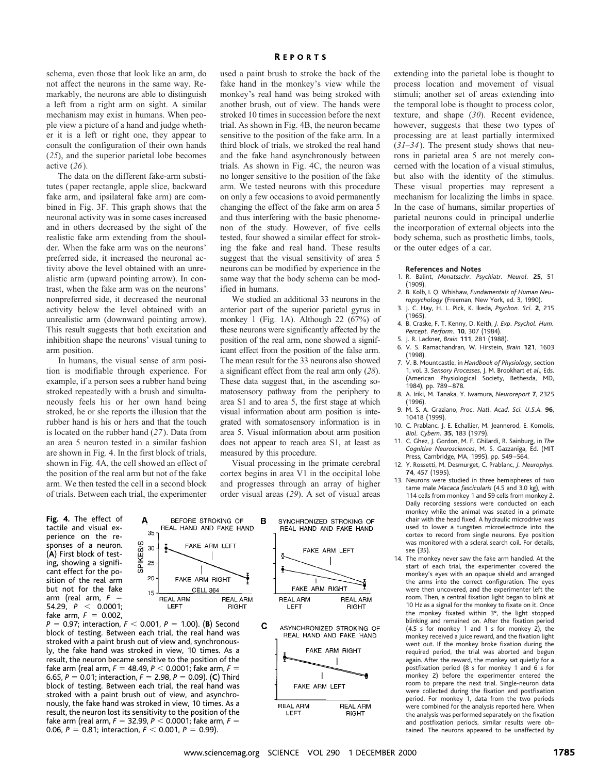schema, even those that look like an arm, do not affect the neurons in the same way. Remarkably, the neurons are able to distinguish a left from a right arm on sight. A similar mechanism may exist in humans. When people view a picture of a hand and judge whether it is a left or right one, they appear to consult the configuration of their own hands (*25*), and the superior parietal lobe becomes active (*26*).

The data on the different fake-arm substitutes (paper rectangle, apple slice, backward fake arm, and ipsilateral fake arm) are combined in Fig. 3F. This graph shows that the neuronal activity was in some cases increased and in others decreased by the sight of the realistic fake arm extending from the shoulder. When the fake arm was on the neurons' preferred side, it increased the neuronal activity above the level obtained with an unrealistic arm (upward pointing arrow). In contrast, when the fake arm was on the neurons' nonpreferred side, it decreased the neuronal activity below the level obtained with an unrealistic arm (downward pointing arrow). This result suggests that both excitation and inhibition shape the neurons' visual tuning to arm position.

In humans, the visual sense of arm position is modifiable through experience. For example, if a person sees a rubber hand being stroked repeatedly with a brush and simultaneously feels his or her own hand being stroked, he or she reports the illusion that the rubber hand is his or hers and that the touch is located on the rubber hand (*27*). Data from an area 5 neuron tested in a similar fashion are shown in Fig. 4. In the first block of trials, shown in Fig. 4A, the cell showed an effect of the position of the real arm but not of the fake arm. We then tested the cell in a second block of trials. Between each trial, the experimenter

**Fig. 4.** The effect of tactile and visual experience on the responses of a neuron. (**A**) First block of testing, showing a significant effect for the position of the real arm but not for the fake arm (real arm,  $F =$ 54.29,  $P < 0.0001$ ; fake arm,  $F = 0.002$ ,



 $P = 0.97$ ; interaction,  $F < 0.001$ ,  $P = 1.00$ ). (**B**) Second block of testing. Between each trial, the real hand was stroked with a paint brush out of view and, synchronously, the fake hand was stroked in view, 10 times. As a result, the neuron became sensitive to the position of the fake arm (real arm,  $F = 48.49$ ,  $P < 0.0001$ ; fake arm,  $F =$ 6.65,  $P = 0.01$ ; interaction,  $F = 2.98$ ,  $P = 0.09$ ). (C) Third block of testing. Between each trial, the real hand was stroked with a paint brush out of view, and asynchronously, the fake hand was stroked in view, 10 times. As a result, the neuron lost its sensitivity to the position of the fake arm (real arm,  $F = 32.99$ ,  $P < 0.0001$ ; fake arm,  $F =$ 0.06,  $P = 0.81$ ; interaction,  $F < 0.001$ ,  $P = 0.99$ ).

15

used a paint brush to stroke the back of the fake hand in the monkey's view while the monkey's real hand was being stroked with another brush, out of view. The hands were stroked 10 times in succession before the next trial. As shown in Fig. 4B, the neuron became sensitive to the position of the fake arm. In a third block of trials, we stroked the real hand and the fake hand asynchronously between trials. As shown in Fig. 4C, the neuron was no longer sensitive to the position of the fake arm. We tested neurons with this procedure on only a few occasions to avoid permanently changing the effect of the fake arm on area 5 and thus interfering with the basic phenomenon of the study. However, of five cells tested, four showed a similar effect for stroking the fake and real hand. These results suggest that the visual sensitivity of area 5 neurons can be modified by experience in the same way that the body schema can be modified in humans.

We studied an additional 33 neurons in the anterior part of the superior parietal gyrus in monkey 1 (Fig. 1A). Although 22 (67%) of these neurons were significantly affected by the position of the real arm, none showed a significant effect from the position of the false arm. The mean result for the 33 neurons also showed a significant effect from the real arm only (*28*). These data suggest that, in the ascending somatosensory pathway from the periphery to area S1 and to area 5, the first stage at which visual information about arm position is integrated with somatosensory information is in area 5. Visual information about arm position does not appear to reach area S1, at least as measured by this procedure.

Visual processing in the primate cerebral cortex begins in area V1 in the occipital lobe and progresses through an array of higher order visual areas (*29*). A set of visual areas



process location and movement of visual stimuli; another set of areas extending into the temporal lobe is thought to process color, texture, and shape (*30*). Recent evidence, however, suggests that these two types of processing are at least partially intermixed (*31–34*). The present study shows that neurons in parietal area 5 are not merely concerned with the location of a visual stimulus, but also with the identity of the stimulus. These visual properties may represent a mechanism for localizing the limbs in space. In the case of humans, similar properties of parietal neurons could in principal underlie the incorporation of external objects into the body schema, such as prosthetic limbs, tools, or the outer edges of a car.

extending into the parietal lobe is thought to

## **References and Notes**

- 1. R. Balint, *Monatsschr. Psychiatr. Neurol.* **25**, 51 (1909).
- 2. B. Kolb, I. Q. Whishaw, *Fundamentals of Human Neuropsychology* (Freeman, New York, ed. 3, 1990).
- 3. J. C. Hay, H. L. Pick, K. Ikeda, *Psychon. Sci.* **2**, 215 (1965).
- 4. B. Craske, F. T. Kenny, D. Keith, *J. Exp. Psychol. Hum. Percept. Perform.* **10**, 307 (1984).
- 5. J. R. Lackner, *Brain* **111**, 281 (1988).
- 6. V. S. Ramachandran, W. Hirstein, *Brain* **121**, 1603 (1998).
- 7. V. B. Mountcastle, in *Handbook of Physiology*, section 1, vol. 3, *Sensory Processes*, J. M. Brookhart *et al*., Eds. (American Physiological Society, Bethesda, MD, 1984), pp. 789–878.
- 8. A. Iriki, M. Tanaka, Y. Iwamura, *Neuroreport* **7**, 2325 (1996).
- 9. M. S. A. Graziano, *Proc. Natl. Acad. Sci. U.S.A.* **96**, 10418 (1999).
- 10. C. Prablanc, J. E. Echallier, M. Jeannerod, E. Komolis, *Biol. Cybern.* **35**, 183 (1979).
- 11. C. Ghez, J. Gordon, M. F. Ghilardi, R. Sainburg, in *The Cognitive Neurosciences*, M. S. Gazzaniga, Ed. (MIT Press, Cambridge, MA, 1995), pp. 549–564.
- 12. Y. Rossetti, M. Desmurget, C. Prablanc, *J. Neurophys.* **74**, 457 (1995).
- 13. Neurons were studied in three hemispheres of two tame male *Macaca fascicularis* (4.5 and 3.0 kg), with 114 cells from monkey 1 and 59 cells from monkey 2. Daily recording sessions were conducted on each monkey while the animal was seated in a primate chair with the head fixed. A hydraulic microdrive was used to lower a tungsten microelectrode into the cortex to record from single neurons. Eye position was monitored with a scleral search coil. For details, see (*35*).
- 14. The monkey never saw the fake arm handled. At the start of each trial, the experimenter covered the monkey's eyes with an opaque shield and arranged the arms into the correct configuration. The eyes were then uncovered, and the experimenter left the room. Then, a central fixation light began to blink at 10 Hz as a signal for the monkey to fixate on it. Once the monkey fixated within 3°, the light stopped blinking and remained on. After the fixation period (4.5 s for monkey 1 and 1 s for monkey 2), the monkey received a juice reward, and the fixation light went out. If the monkey broke fixation during the required period, the trial was aborted and begun again. After the reward, the monkey sat quietly for a postfixation period (8 s for monkey 1 and 6 s for monkey 2) before the experimenter entered the room to prepare the next trial. Single-neuron data were collected during the fixation and postfixation period. For monkey 1, data from the two periods were combined for the analysis reported here. When the analysis was performed separately on the fixation and postfixation periods, similar results were obtained. The neurons appeared to be unaffected by

REAL ARM LEFT

**REAL ARM** 

**RIGHT**